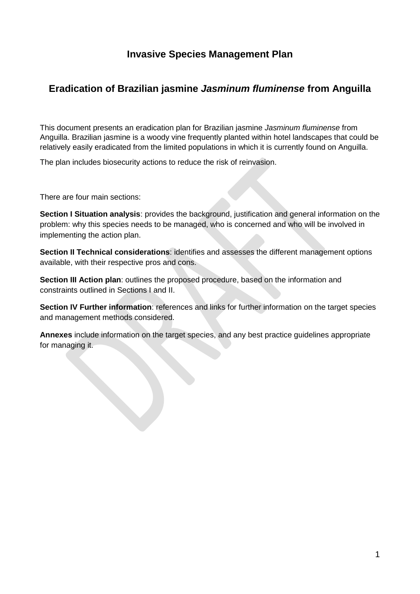## **Invasive Species Management Plan**

## **Eradication of Brazilian jasmine** *Jasminum fluminense* **from Anguilla**

This document presents an eradication plan for Brazilian jasmine *Jasminum fluminense* from Anguilla. Brazilian jasmine is a woody vine frequently planted within hotel landscapes that could be relatively easily eradicated from the limited populations in which it is currently found on Anguilla.

The plan includes biosecurity actions to reduce the risk of reinvasion.

There are four main sections:

**Section I Situation analysis**: provides the background, justification and general information on the problem: why this species needs to be managed, who is concerned and who will be involved in implementing the action plan.

**Section II Technical considerations**: identifies and assesses the different management options available, with their respective pros and cons.

**Section III Action plan**: outlines the proposed procedure, based on the information and constraints outlined in Sections I and II.

**Section IV Further information**: references and links for further information on the target species and management methods considered.

**Annexes** include information on the target species, and any best practice guidelines appropriate for managing it.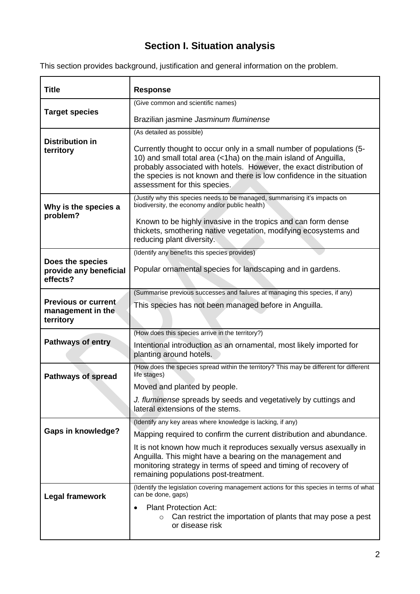# **Section I. Situation analysis**

This section provides background, justification and general information on the problem.

| <b>Title</b>                                                 | <b>Response</b>                                                                                                                                                                                                                                                                                                         |
|--------------------------------------------------------------|-------------------------------------------------------------------------------------------------------------------------------------------------------------------------------------------------------------------------------------------------------------------------------------------------------------------------|
|                                                              | (Give common and scientific names)                                                                                                                                                                                                                                                                                      |
| <b>Target species</b>                                        | Brazilian jasmine Jasminum fluminense                                                                                                                                                                                                                                                                                   |
|                                                              | (As detailed as possible)                                                                                                                                                                                                                                                                                               |
| <b>Distribution in</b><br>territory                          | Currently thought to occur only in a small number of populations (5-<br>10) and small total area (<1ha) on the main island of Anguilla,<br>probably associated with hotels. However, the exact distribution of<br>the species is not known and there is low confidence in the situation<br>assessment for this species. |
| Why is the species a                                         | (Justify why this species needs to be managed, summarising it's impacts on<br>biodiversity, the economy and/or public health)                                                                                                                                                                                           |
| problem?                                                     | Known to be highly invasive in the tropics and can form dense<br>thickets, smothering native vegetation, modifying ecosystems and<br>reducing plant diversity.                                                                                                                                                          |
|                                                              | (Identify any benefits this species provides)                                                                                                                                                                                                                                                                           |
| Does the species<br>provide any beneficial<br>effects?       | Popular ornamental species for landscaping and in gardens.                                                                                                                                                                                                                                                              |
|                                                              | (Summarise previous successes and failures at managing this species, if any)                                                                                                                                                                                                                                            |
| <b>Previous or current</b><br>management in the<br>territory | This species has not been managed before in Anguilla.                                                                                                                                                                                                                                                                   |
|                                                              | (How does this species arrive in the territory?)                                                                                                                                                                                                                                                                        |
| <b>Pathways of entry</b>                                     | Intentional introduction as an ornamental, most likely imported for<br>planting around hotels.                                                                                                                                                                                                                          |
| <b>Pathways of spread</b>                                    | (How does the species spread within the territory? This may be different for different<br>life stages)                                                                                                                                                                                                                  |
|                                                              | Moved and planted by people.                                                                                                                                                                                                                                                                                            |
|                                                              | J. fluminense spreads by seeds and vegetatively by cuttings and<br>lateral extensions of the stems.                                                                                                                                                                                                                     |
|                                                              | (Identify any key areas where knowledge is lacking, if any)                                                                                                                                                                                                                                                             |
| <b>Gaps in knowledge?</b>                                    | Mapping required to confirm the current distribution and abundance.                                                                                                                                                                                                                                                     |
|                                                              | It is not known how much it reproduces sexually versus asexually in<br>Anguilla. This might have a bearing on the management and<br>monitoring strategy in terms of speed and timing of recovery of<br>remaining populations post-treatment.                                                                            |
| <b>Legal framework</b>                                       | (Identify the legislation covering management actions for this species in terms of what<br>can be done, gaps)                                                                                                                                                                                                           |
|                                                              | <b>Plant Protection Act:</b><br>Can restrict the importation of plants that may pose a pest<br>or disease risk                                                                                                                                                                                                          |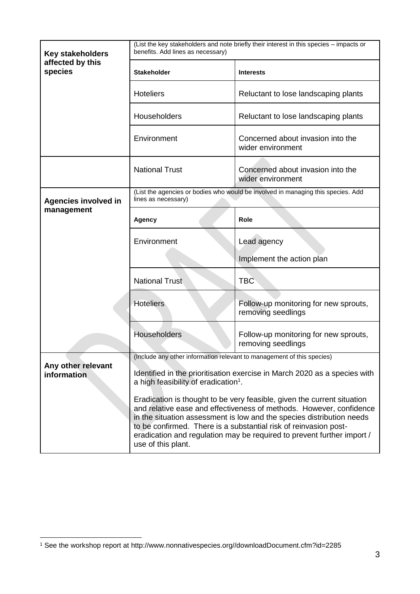| <b>Key stakeholders</b><br>affected by this<br>species | (List the key stakeholders and note briefly their interest in this species - impacts or<br>benefits. Add lines as necessary)                                                                                                                                                                                                                                                                                                                                                                                                 |                                                                                  |  |
|--------------------------------------------------------|------------------------------------------------------------------------------------------------------------------------------------------------------------------------------------------------------------------------------------------------------------------------------------------------------------------------------------------------------------------------------------------------------------------------------------------------------------------------------------------------------------------------------|----------------------------------------------------------------------------------|--|
|                                                        | <b>Stakeholder</b>                                                                                                                                                                                                                                                                                                                                                                                                                                                                                                           | <b>Interests</b>                                                                 |  |
|                                                        | <b>Hoteliers</b>                                                                                                                                                                                                                                                                                                                                                                                                                                                                                                             | Reluctant to lose landscaping plants                                             |  |
|                                                        | Householders                                                                                                                                                                                                                                                                                                                                                                                                                                                                                                                 | Reluctant to lose landscaping plants                                             |  |
|                                                        | Environment                                                                                                                                                                                                                                                                                                                                                                                                                                                                                                                  | Concerned about invasion into the<br>wider environment                           |  |
|                                                        | <b>National Trust</b>                                                                                                                                                                                                                                                                                                                                                                                                                                                                                                        | Concerned about invasion into the<br>wider environment                           |  |
| <b>Agencies involved in</b>                            | lines as necessary)                                                                                                                                                                                                                                                                                                                                                                                                                                                                                                          | (List the agencies or bodies who would be involved in managing this species. Add |  |
| management                                             | Agency                                                                                                                                                                                                                                                                                                                                                                                                                                                                                                                       | Role                                                                             |  |
|                                                        | Environment                                                                                                                                                                                                                                                                                                                                                                                                                                                                                                                  | Lead agency                                                                      |  |
|                                                        |                                                                                                                                                                                                                                                                                                                                                                                                                                                                                                                              | Implement the action plan                                                        |  |
|                                                        | <b>National Trust</b>                                                                                                                                                                                                                                                                                                                                                                                                                                                                                                        | <b>TBC</b>                                                                       |  |
|                                                        | <b>Hoteliers</b>                                                                                                                                                                                                                                                                                                                                                                                                                                                                                                             | Follow-up monitoring for new sprouts,<br>removing seedlings                      |  |
|                                                        | Householders<br>Follow-up monitoring for new sprouts,<br>removing seedlings                                                                                                                                                                                                                                                                                                                                                                                                                                                  |                                                                                  |  |
|                                                        | (Include any other information relevant to management of this species)                                                                                                                                                                                                                                                                                                                                                                                                                                                       |                                                                                  |  |
| Any other relevant<br>information                      | Identified in the prioritisation exercise in March 2020 as a species with<br>a high feasibility of eradication <sup>1</sup> .<br>Eradication is thought to be very feasible, given the current situation<br>and relative ease and effectiveness of methods. However, confidence<br>in the situation assessment is low and the species distribution needs<br>to be confirmed. There is a substantial risk of reinvasion post-<br>eradication and regulation may be required to prevent further import /<br>use of this plant. |                                                                                  |  |
|                                                        |                                                                                                                                                                                                                                                                                                                                                                                                                                                                                                                              |                                                                                  |  |

1

<sup>1</sup> See the workshop report at http://www.nonnativespecies.org//downloadDocument.cfm?id=2285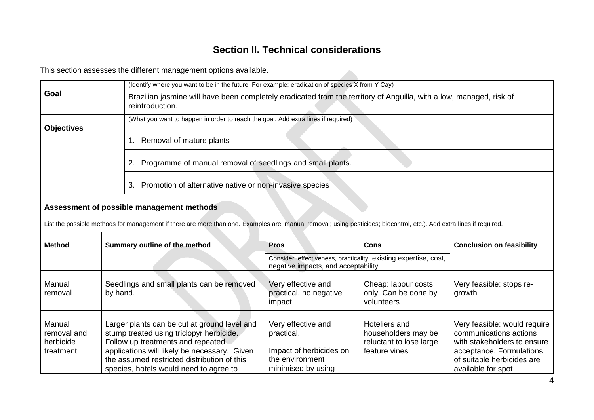## **Section II. Technical considerations**

This section assesses the different management options available.

|                                                 | This section assesses the different management options available.                                                                                                                                                                                                      |                                                                                                      |                                                                                  |                                                                                                                                                                       |
|-------------------------------------------------|------------------------------------------------------------------------------------------------------------------------------------------------------------------------------------------------------------------------------------------------------------------------|------------------------------------------------------------------------------------------------------|----------------------------------------------------------------------------------|-----------------------------------------------------------------------------------------------------------------------------------------------------------------------|
|                                                 |                                                                                                                                                                                                                                                                        | (Identify where you want to be in the future. For example: eradication of species X from Y Cay)      |                                                                                  |                                                                                                                                                                       |
| Goal                                            | Brazilian jasmine will have been completely eradicated from the territory of Anguilla, with a low, managed, risk of<br>reintroduction.                                                                                                                                 |                                                                                                      |                                                                                  |                                                                                                                                                                       |
|                                                 | (What you want to happen in order to reach the goal. Add extra lines if required)                                                                                                                                                                                      |                                                                                                      |                                                                                  |                                                                                                                                                                       |
| <b>Objectives</b>                               | 1. Removal of mature plants                                                                                                                                                                                                                                            |                                                                                                      |                                                                                  |                                                                                                                                                                       |
|                                                 | 2. Programme of manual removal of seedlings and small plants.                                                                                                                                                                                                          |                                                                                                      |                                                                                  |                                                                                                                                                                       |
|                                                 | 3. Promotion of alternative native or non-invasive species                                                                                                                                                                                                             |                                                                                                      |                                                                                  |                                                                                                                                                                       |
|                                                 | Assessment of possible management methods<br>List the possible methods for management if there are more than one. Examples are: manual removal; using pesticides; biocontrol, etc.). Add extra lines if required.                                                      |                                                                                                      |                                                                                  |                                                                                                                                                                       |
|                                                 |                                                                                                                                                                                                                                                                        |                                                                                                      |                                                                                  |                                                                                                                                                                       |
| <b>Method</b>                                   | Summary outline of the method                                                                                                                                                                                                                                          | <b>Pros</b>                                                                                          | <b>Cons</b>                                                                      | <b>Conclusion on feasibility</b>                                                                                                                                      |
|                                                 |                                                                                                                                                                                                                                                                        | negative impacts, and acceptability                                                                  | Consider: effectiveness, practicality, existing expertise, cost,                 |                                                                                                                                                                       |
| Manual<br>removal                               | Seedlings and small plants can be removed<br>by hand.                                                                                                                                                                                                                  | Very effective and<br>practical, no negative<br>impact                                               | Cheap: labour costs<br>only. Can be done by<br>volunteers                        | Very feasible: stops re-<br>growth                                                                                                                                    |
| Manual<br>removal and<br>herbicide<br>treatment | Larger plants can be cut at ground level and<br>stump treated using triclopyr herbicide.<br>Follow up treatments and repeated<br>applications will likely be necessary. Given<br>the assumed restricted distribution of this<br>species, hotels would need to agree to | Very effective and<br>practical.<br>Impact of herbicides on<br>the environment<br>minimised by using | Hoteliers and<br>householders may be<br>reluctant to lose large<br>feature vines | Very feasible: would require<br>communications actions<br>with stakeholders to ensure<br>acceptance. Formulations<br>of suitable herbicides are<br>available for spot |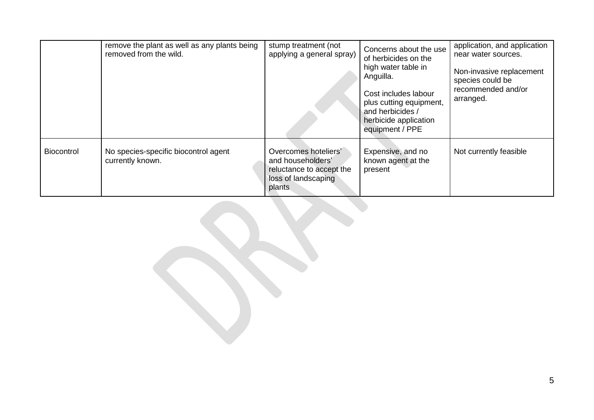|                   | remove the plant as well as any plants being<br>removed from the wild. | stump treatment (not<br>applying a general spray)                                                      | Concerns about the use<br>of herbicides on the<br>high water table in<br>Anguilla.<br>Cost includes labour<br>plus cutting equipment,<br>and herbicides /<br>herbicide application<br>equipment / PPE | application, and application<br>near water sources.<br>Non-invasive replacement<br>species could be<br>recommended and/or<br>arranged. |
|-------------------|------------------------------------------------------------------------|--------------------------------------------------------------------------------------------------------|-------------------------------------------------------------------------------------------------------------------------------------------------------------------------------------------------------|----------------------------------------------------------------------------------------------------------------------------------------|
| <b>Biocontrol</b> | No species-specific biocontrol agent<br>currently known.               | Overcomes hoteliers'<br>and householders'<br>reluctance to accept the<br>loss of landscaping<br>plants | Expensive, and no<br>known agent at the<br>present                                                                                                                                                    | Not currently feasible                                                                                                                 |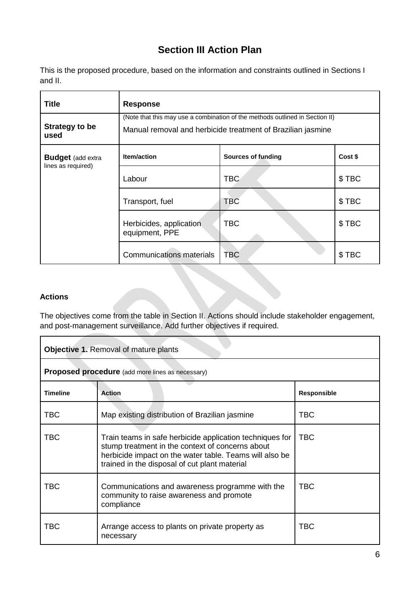# **Section III Action Plan**

This is the proposed procedure, based on the information and constraints outlined in Sections I and II.

| <b>Title</b>                  | <b>Response</b>                                                                                                                             |                           |         |
|-------------------------------|---------------------------------------------------------------------------------------------------------------------------------------------|---------------------------|---------|
| <b>Strategy to be</b><br>used | (Note that this may use a combination of the methods outlined in Section II)<br>Manual removal and herbicide treatment of Brazilian jasmine |                           |         |
| <b>Budget</b> (add extra      | Item/action                                                                                                                                 | <b>Sources of funding</b> | Cost \$ |
| lines as required)            | Labour                                                                                                                                      | TBC                       | \$TBC   |
|                               | Transport, fuel                                                                                                                             | <b>TBC</b>                | \$TBC   |
|                               | Herbicides, application<br>equipment, PPE                                                                                                   | <b>TBC</b>                | \$TBC   |
|                               | <b>Communications materials</b>                                                                                                             | TBC                       | \$TBC   |

#### **Actions**

The objectives come from the table in Section II. Actions should include stakeholder engagement, and post-management surveillance. Add further objectives if required.

| <b>Objective 1. Removal of mature plants</b>            |                                                                                                                                                                                                                          |                    |
|---------------------------------------------------------|--------------------------------------------------------------------------------------------------------------------------------------------------------------------------------------------------------------------------|--------------------|
| <b>Proposed procedure</b> (add more lines as necessary) |                                                                                                                                                                                                                          |                    |
| <b>Timeline</b>                                         | <b>Action</b>                                                                                                                                                                                                            | <b>Responsible</b> |
| <b>TBC</b>                                              | Map existing distribution of Brazilian jasmine                                                                                                                                                                           | TBC                |
| <b>TBC</b>                                              | Train teams in safe herbicide application techniques for<br>stump treatment in the context of concerns about<br>herbicide impact on the water table. Teams will also be<br>trained in the disposal of cut plant material | <b>TBC</b>         |
| <b>TBC</b>                                              | Communications and awareness programme with the<br>community to raise awareness and promote<br>compliance                                                                                                                | <b>TBC</b>         |
| TBC                                                     | Arrange access to plants on private property as<br>necessary                                                                                                                                                             | <b>TBC</b>         |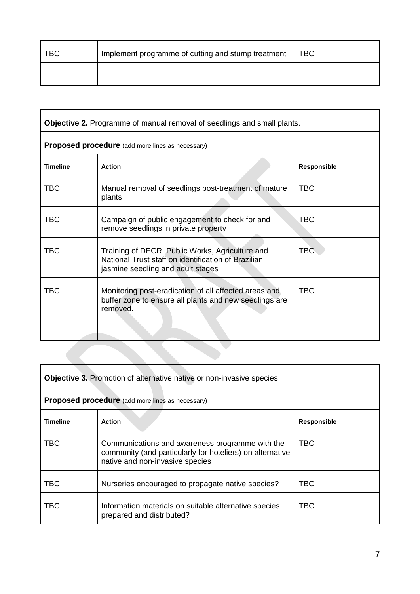| <b>TBC</b> | Implement programme of cutting and stump treatment | <b>TBC</b> |
|------------|----------------------------------------------------|------------|
|            |                                                    |            |

| Objective 2. Programme of manual removal of seedlings and small plants. |                                                                                                                                             |             |  |
|-------------------------------------------------------------------------|---------------------------------------------------------------------------------------------------------------------------------------------|-------------|--|
|                                                                         | <b>Proposed procedure</b> (add more lines as necessary)                                                                                     |             |  |
| <b>Timeline</b>                                                         | <b>Action</b>                                                                                                                               | Responsible |  |
| <b>TBC</b>                                                              | Manual removal of seedlings post-treatment of mature<br>plants                                                                              | <b>TBC</b>  |  |
| <b>TBC</b>                                                              | Campaign of public engagement to check for and<br>remove seedlings in private property                                                      | <b>TBC</b>  |  |
| <b>TBC</b>                                                              | Training of DECR, Public Works, Agriculture and<br>National Trust staff on identification of Brazilian<br>jasmine seedling and adult stages | <b>TBC</b>  |  |
| <b>TBC</b>                                                              | Monitoring post-eradication of all affected areas and<br>buffer zone to ensure all plants and new seedlings are<br>removed.                 | <b>TBC</b>  |  |
|                                                                         |                                                                                                                                             |             |  |
|                                                                         |                                                                                                                                             |             |  |

| <b>Objective 3.</b> Promotion of alternative native or non-invasive species |                                                                                                                                                 |                    |
|-----------------------------------------------------------------------------|-------------------------------------------------------------------------------------------------------------------------------------------------|--------------------|
|                                                                             | <b>Proposed procedure</b> (add more lines as necessary)                                                                                         |                    |
| <b>Timeline</b>                                                             | <b>Action</b>                                                                                                                                   | <b>Responsible</b> |
| <b>TBC</b>                                                                  | Communications and awareness programme with the<br>community (and particularly for hoteliers) on alternative<br>native and non-invasive species | <b>TBC</b>         |
| <b>TBC</b>                                                                  | Nurseries encouraged to propagate native species?                                                                                               | TBC                |
| <b>TBC</b>                                                                  | Information materials on suitable alternative species<br>prepared and distributed?                                                              | <b>TBC</b>         |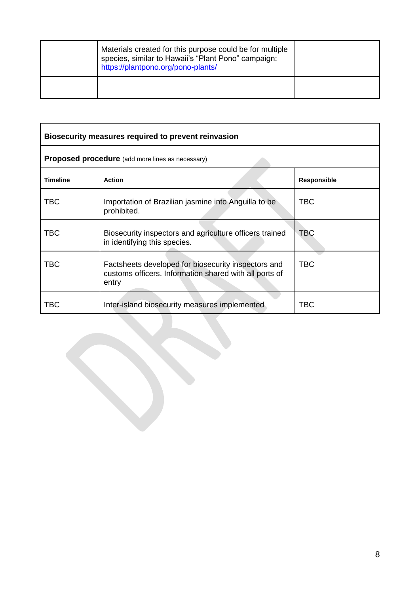| Materials created for this purpose could be for multiple<br>species, similar to Hawaii's "Plant Pono" campaign:<br>https://plantpono.org/pono-plants/ |  |
|-------------------------------------------------------------------------------------------------------------------------------------------------------|--|
|                                                                                                                                                       |  |

| Biosecurity measures required to prevent reinvasion     |                                                                                                                        |                    |
|---------------------------------------------------------|------------------------------------------------------------------------------------------------------------------------|--------------------|
| <b>Proposed procedure</b> (add more lines as necessary) |                                                                                                                        |                    |
| <b>Timeline</b>                                         | <b>Action</b>                                                                                                          | <b>Responsible</b> |
| TBC                                                     | Importation of Brazilian jasmine into Anguilla to be<br>prohibited.                                                    | TBC                |
| TBC                                                     | Biosecurity inspectors and agriculture officers trained<br>in identifying this species.                                | <b>TBC</b>         |
| <b>TBC</b>                                              | Factsheets developed for biosecurity inspectors and<br>customs officers. Information shared with all ports of<br>entry | TBC.               |
| TBC                                                     | Inter-island biosecurity measures implemented                                                                          | <b>TBC</b>         |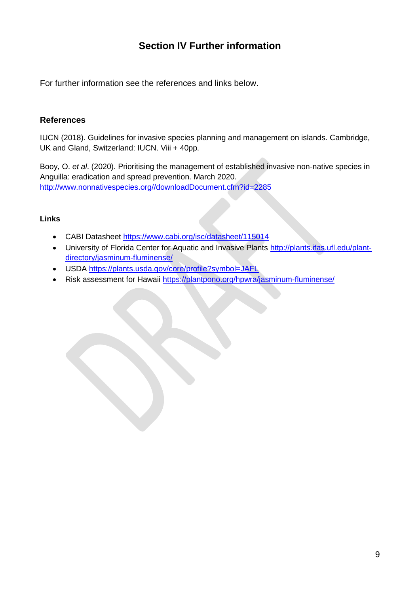## **Section IV Further information**

For further information see the references and links below.

#### **References**

IUCN (2018). Guidelines for invasive species planning and management on islands. Cambridge, UK and Gland, Switzerland: IUCN. Viii + 40pp.

Booy, O. *et al*. (2020). Prioritising the management of established invasive non-native species in Anguilla: eradication and spread prevention. March 2020. [http://www.nonnativespecies.org//downloadDocument.cfm?id=2285](http://www.nonnativespecies.org/downloadDocument.cfm?id=2285)

#### **Links**

- CABI Datasheet<https://www.cabi.org/isc/datasheet/115014>
- University of Florida Center for Aquatic and Invasive Plants [http://plants.ifas.ufl.edu/plant](http://plants.ifas.ufl.edu/plant-directory/jasminum-fluminense/)[directory/jasminum-fluminense/](http://plants.ifas.ufl.edu/plant-directory/jasminum-fluminense/)
- USDA<https://plants.usda.gov/core/profile?symbol=JAFL>
- Risk assessment for Hawaii<https://plantpono.org/hpwra/jasminum-fluminense/>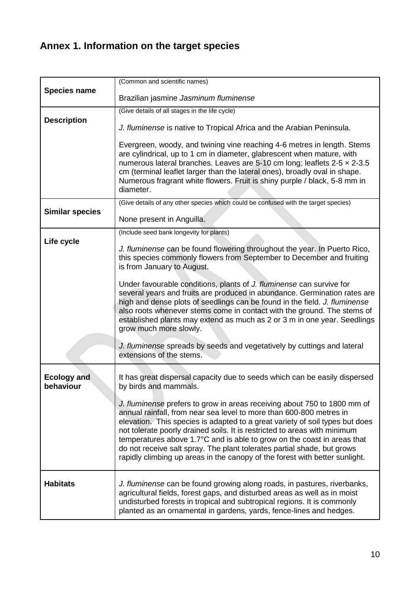# **Annex 1. Information on the target species**

|                                 | (Common and scientific names)                                                                                                                                                                                                                                                                                                                                                                                                                                                                                                                     |
|---------------------------------|---------------------------------------------------------------------------------------------------------------------------------------------------------------------------------------------------------------------------------------------------------------------------------------------------------------------------------------------------------------------------------------------------------------------------------------------------------------------------------------------------------------------------------------------------|
| <b>Species name</b>             | Brazilian jasmine Jasminum fluminense                                                                                                                                                                                                                                                                                                                                                                                                                                                                                                             |
|                                 | (Give details of all stages in the life cycle)                                                                                                                                                                                                                                                                                                                                                                                                                                                                                                    |
| <b>Description</b>              | J. fluminense is native to Tropical Africa and the Arabian Peninsula.                                                                                                                                                                                                                                                                                                                                                                                                                                                                             |
|                                 | Evergreen, woody, and twining vine reaching 4-6 metres in length. Stems<br>are cylindrical, up to 1 cm in diameter, glabrescent when mature, with<br>numerous lateral branches. Leaves are 5-10 cm long; leaflets 2-5 x 2-3.5<br>cm (terminal leaflet larger than the lateral ones), broadly oval in shape.<br>Numerous fragrant white flowers. Fruit is shiny purple / black, 5-8 mm in<br>diameter.                                                                                                                                             |
|                                 | (Give details of any other species which could be confused with the target species)                                                                                                                                                                                                                                                                                                                                                                                                                                                               |
| <b>Similar species</b>          | None present in Anguilla.                                                                                                                                                                                                                                                                                                                                                                                                                                                                                                                         |
|                                 | (Include seed bank longevity for plants)                                                                                                                                                                                                                                                                                                                                                                                                                                                                                                          |
| Life cycle                      | J. fluminense can be found flowering throughout the year. In Puerto Rico,<br>this species commonly flowers from September to December and fruiting<br>is from January to August.                                                                                                                                                                                                                                                                                                                                                                  |
|                                 | Under favourable conditions, plants of J. fluminense can survive for<br>several years and fruits are produced in abundance. Germination rates are<br>high and dense plots of seedlings can be found in the field. J. fluminense<br>also roots whenever stems come in contact with the ground. The stems of<br>established plants may extend as much as 2 or 3 m in one year. Seedlings<br>grow much more slowly.                                                                                                                                  |
|                                 | J. fluminense spreads by seeds and vegetatively by cuttings and lateral<br>extensions of the stems.                                                                                                                                                                                                                                                                                                                                                                                                                                               |
| <b>Ecology and</b><br>behaviour | It has great dispersal capacity due to seeds which can be easily dispersed<br>by birds and mammals.                                                                                                                                                                                                                                                                                                                                                                                                                                               |
|                                 | J. fluminense prefers to grow in areas receiving about 750 to 1800 mm of<br>annual rainfall, from near sea level to more than 600-800 metres in<br>elevation. This species is adapted to a great variety of soil types but does<br>not tolerate poorly drained soils. It is restricted to areas with minimum<br>temperatures above 1.7°C and is able to grow on the coast in areas that<br>do not receive salt spray. The plant tolerates partial shade, but grows<br>rapidly climbing up areas in the canopy of the forest with better sunlight. |
| <b>Habitats</b>                 | J. fluminense can be found growing along roads, in pastures, riverbanks,<br>agricultural fields, forest gaps, and disturbed areas as well as in moist<br>undisturbed forests in tropical and subtropical regions. It is commonly<br>planted as an ornamental in gardens, yards, fence-lines and hedges.                                                                                                                                                                                                                                           |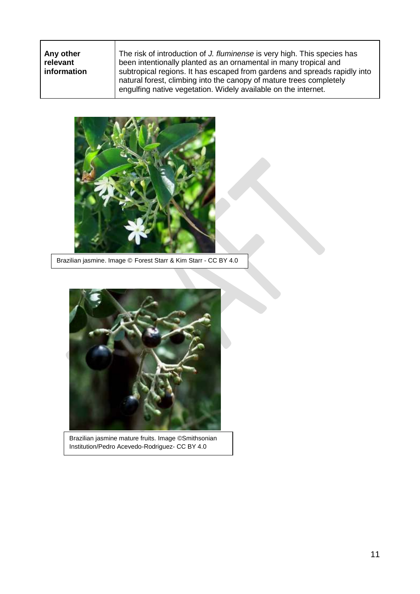**Any other relevant information**

The risk of introduction of *J. fluminense* is very high. This species has been intentionally planted as an ornamental in many tropical and subtropical regions. It has escaped from gardens and spreads rapidly into natural forest, climbing into the canopy of mature trees completely engulfing native vegetation. Widely available on the internet.



Brazilian jasmine. Image © Forest Starr & Kim Starr - CC BY 4.0



Brazilian jasmine mature fruits. Image ©Smithsonian Institution/Pedro Acevedo-Rodriguez- CC BY 4.0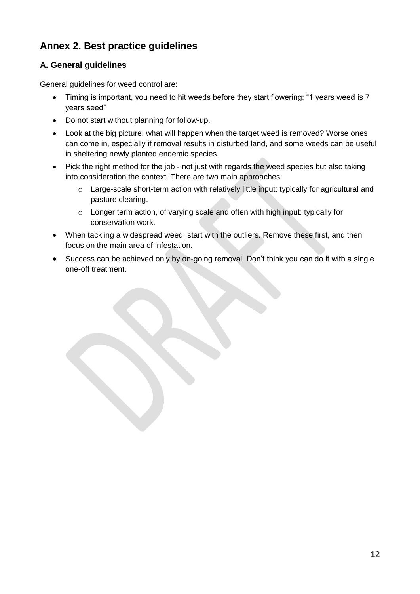# **Annex 2. Best practice guidelines**

## **A. General guidelines**

General guidelines for weed control are:

- Timing is important, you need to hit weeds before they start flowering: "1 years weed is 7 years seed"
- Do not start without planning for follow-up.
- Look at the big picture: what will happen when the target weed is removed? Worse ones can come in, especially if removal results in disturbed land, and some weeds can be useful in sheltering newly planted endemic species.
- Pick the right method for the job not just with regards the weed species but also taking into consideration the context. There are two main approaches:
	- o Large-scale short-term action with relatively little input: typically for agricultural and pasture clearing.
	- o Longer term action, of varying scale and often with high input: typically for conservation work.
- When tackling a widespread weed, start with the outliers. Remove these first, and then focus on the main area of infestation.
- Success can be achieved only by on-going removal. Don't think you can do it with a single one-off treatment.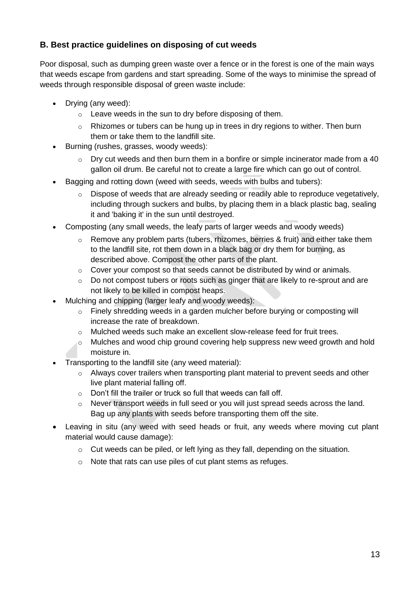### **B. Best practice guidelines on disposing of cut weeds**

Poor disposal, such as dumping green waste over a fence or in the forest is one of the main ways that weeds escape from gardens and start spreading. Some of the ways to minimise the spread of weeds through responsible disposal of green waste include:

- Drying (any weed):
	- o Leave weeds in the sun to dry before disposing of them.
	- o Rhizomes or tubers can be hung up in trees in dry regions to wither. Then burn them or take them to the landfill site.
- Burning (rushes, grasses, woody weeds):
	- $\circ$  Dry cut weeds and then burn them in a bonfire or simple incinerator made from a 40 gallon oil drum. Be careful not to create a large fire which can go out of control.
- Bagging and rotting down (weed with seeds, weeds with bulbs and tubers):
	- $\circ$  Dispose of weeds that are already seeding or readily able to reproduce vegetatively, including through suckers and bulbs, by placing them in a black plastic bag, sealing it and 'baking it' in the sun until destroyed.
- Composting (any small weeds, the leafy parts of larger weeds and woody weeds)
	- $\circ$  Remove any problem parts (tubers, rhizomes, berries & fruit) and either take them to the landfill site, rot them down in a black bag or dry them for burning, as described above. Compost the other parts of the plant.
	- $\circ$  Cover your compost so that seeds cannot be distributed by wind or animals.
	- o Do not compost tubers or roots such as ginger that are likely to re-sprout and are not likely to be killed in compost heaps.
- Mulching and chipping (larger leafy and woody weeds):
	- o Finely shredding weeds in a garden mulcher before burying or composting will increase the rate of breakdown.
	- $\circ$  Mulched weeds such make an excellent slow-release feed for fruit trees.
	- $\circ$  Mulches and wood chip ground covering help suppress new weed growth and hold moisture in.
- Transporting to the landfill site (any weed material):
	- o Always cover trailers when transporting plant material to prevent seeds and other live plant material falling off.
	- $\circ$  Don't fill the trailer or truck so full that weeds can fall off.
	- $\circ$  Never transport weeds in full seed or you will just spread seeds across the land. Bag up any plants with seeds before transporting them off the site.
- Leaving in situ (any weed with seed heads or fruit, any weeds where moving cut plant material would cause damage):
	- o Cut weeds can be piled, or left lying as they fall, depending on the situation.
	- o Note that rats can use piles of cut plant stems as refuges.